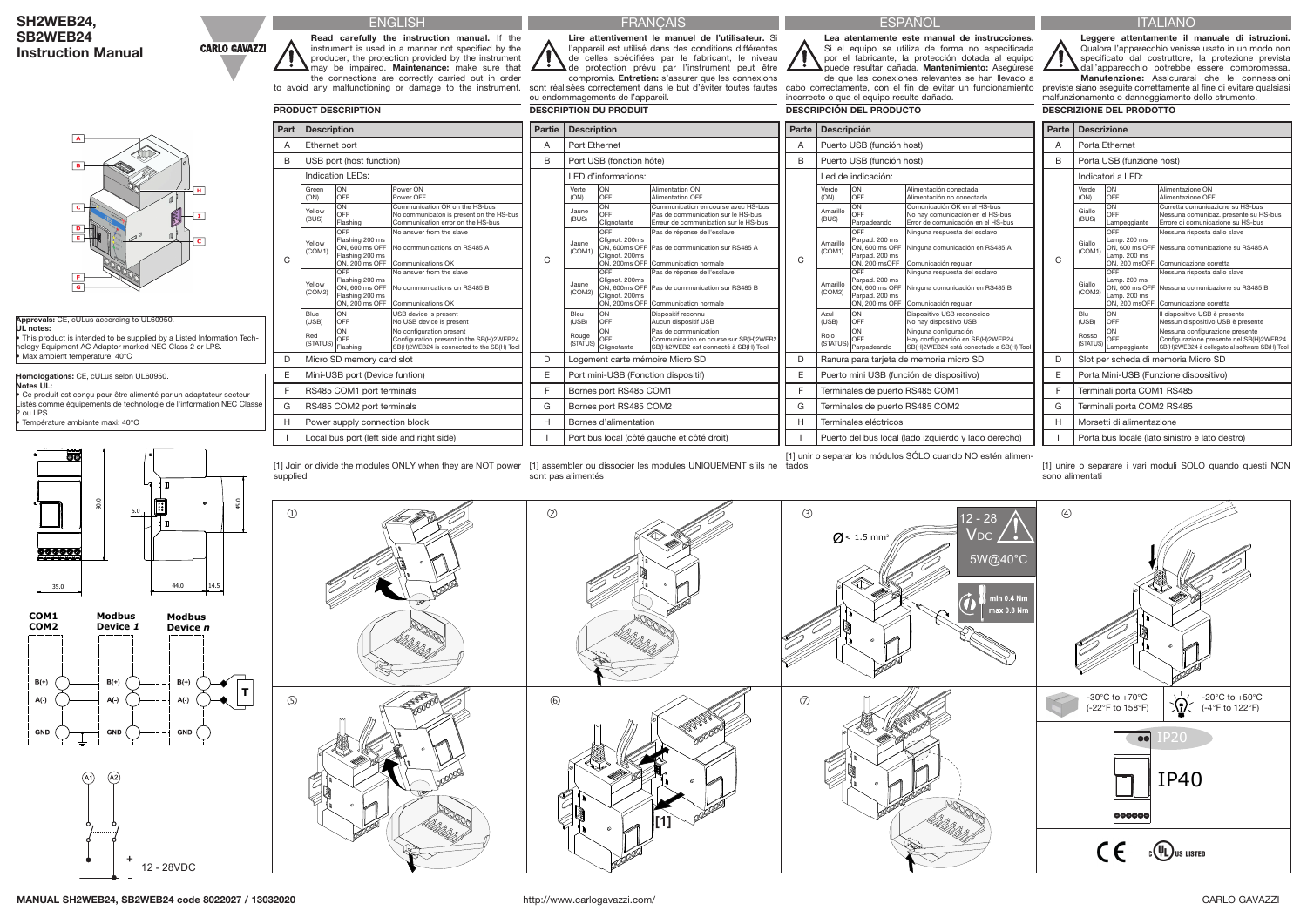| SH2WEB24,                 |
|---------------------------|
| <b>SB2WEB24</b>           |
| <b>Instruction Manual</b> |

ENGLISH

**Part Description** A Ethernet port

Read carefully the instruction manual. If the instrument is used in a manner not specified by the producer, the protection provided by the instrument may be impaired. Maintenance: make sure that the connections are correctly carried out in order to avoid any malfunctioning or damage to the instrument.

> Power ON wer OFF

ommunication OK on the HS-bus No communicaton is present on the HS-bus mmunication error on the HS-bus

shing 200 ms ON, 600 ms OFF Flashing 200 ms ON, 200 ms OFF

No answer from the slave No communications on RS485 A  $n$ mmunications  $\cap$ K

PRODUCT DESCRIPTION

OFF Flashing 200 ms ON, 600 ms OFF Flashing 200 ms  $ON$ , 200 ms OFF

No answer from the slave No communications on RS485 B  $mm$ unications  $\overline{\textsf{OK}}$ 

supplied

Local bus port (left side and right side)

USB device is present **No USB device is present** 

B USB port (host function)

C

**CARLO GAVAZZI** 

Indication LEDs:

Configuration present in the SB(H)2WEB24  $B(H)$ 2WEB24 is connected to the SB(H) Tool **FRANCAIS** 

Green (ON)

ON OFF

Yellow (BUS)

ON  $\overline{\wedge}$ <sub>EF</sub> Flashing

D | Micro SD memory card slot E Mini-USB port (Device funtion) F | RS485 COM1 port terminals G | RS485 COM2 port terminals H Power supply connection block

Red<br>(STATUS) OFF<br>Flashing **ON** 

Yellow (COM1) OFF

sont réalisées correctement dans le but d'éviter toutes fautes cabo correctamente, con el fin de evitar un funcionamiento ou endommagements de l'appareil. DESCRIPTION DU PRODUIT

Yellow (COM2)

Blue (USB)

ON OFF

[1] Join or divide the modules ONLY when they are NOT power [1] assembler ou dissocier les modules UNIQUEMENT s'ils ne tados sont pas alimentés

No configuration present

Lire attentivement le manuel de l'utilisateur. Si l'appareil est utilisé dans des conditions différentes de celles spécifiées par le fabricant, le niveau de protection prévu par l'instrument peut être compromis. Entretien: s'assurer que les connexions

Partie | Description A Port Ethernet

Lea atentamente este manual de instrucciones. Si el equipo se utiliza de forma no especificada por el fabricante, la protección dotada al equipo puede resultar dañada. Mantenimiento: Asegúrese

de que las conexiones relevantes se han llevado a incorrecto o que el equipo resulte dañado. DESCRIPCIÓN DEL PRODUCTO

[1] unir o separar los módulos SÓLO cuando NO estén alimen-

ITALIANO

Leggere attentamente il manuale di istruzioni. Qualora l'apparecchio venisse usato in un modo non specificato dal costruttore, la protezione prevista dall'apparecchio potrebbe essere compromessa. Manutenzione: Assicurarsi che le connessioni

previste siano eseguite correttamente al fine di evitare qualsiasi malfunzionamento o danneggiamento dello strumento. DESCRIZIONE DEL PRODOTTO

[1] unire o separare i vari moduli SOLO quando questi NON sono alimentati





45.0





### MANUAL SH2WEB24, SB2WEB24 code 8022027 / 13032020 http://www.carlogavazzi.com/ http://www.carlogavazzi.com/ CARLO GAVAZZI

## **ESPAÑOL**

| Approvals: CE, cULus according to UL60950.                                                                                                                           |
|----------------------------------------------------------------------------------------------------------------------------------------------------------------------|
| UL notes:                                                                                                                                                            |
| • This product is intended to be supplied by a Listed Information Tech-<br>nology Equipment AC Adaptor marked NEC Class 2 or LPS.<br>· Max ambient temperature: 40°C |
|                                                                                                                                                                      |
| Homologations: CE, cULus selon UL60950.                                                                                                                              |
| Notes UL:                                                                                                                                                            |
| • Ce produit est concu pour être alimenté par un adaptateur secteur<br>Listés comme équipements de technologie de l'information NEC Classe                           |

2 ou LPS.



• Température ambiante maxi: 40°C



| <b>Partie</b> | <b>Description</b>                                                                                                                                                                   | Parte | <b>Descripción</b>                                                                                                                                                                         | Parte | <b>Descrizione</b>                                                                                                                                                                 |  |  |  |  |
|---------------|--------------------------------------------------------------------------------------------------------------------------------------------------------------------------------------|-------|--------------------------------------------------------------------------------------------------------------------------------------------------------------------------------------------|-------|------------------------------------------------------------------------------------------------------------------------------------------------------------------------------------|--|--|--|--|
| A             | Port Ethernet                                                                                                                                                                        | A     | Puerto USB (función host)                                                                                                                                                                  | A     | Porta Ethernet                                                                                                                                                                     |  |  |  |  |
| B             | Port USB (fonction hôte)                                                                                                                                                             | B     | Puerto USB (función host)                                                                                                                                                                  | B     | Porta USB (funzione host)                                                                                                                                                          |  |  |  |  |
|               | LED d'informations:                                                                                                                                                                  |       | Led de indicación:                                                                                                                                                                         |       | Indicatori a LED:                                                                                                                                                                  |  |  |  |  |
| C             | <b>ON</b><br>Alimentation ON<br>Verte<br>OFF<br><b>Alimentation OFF</b><br>(ON)                                                                                                      |       | ON<br>Alimentación conectada<br>Verde<br>OFF<br>Alimentación no conectada<br>(ON)                                                                                                          |       | ON<br>Verde<br>Alimentazione ON<br>OFF<br>(ON)<br>Alimentazione OFF                                                                                                                |  |  |  |  |
|               | ON<br>Communication en course avec HS-bus<br>Jaune<br><b>OFF</b><br>Pas de communication sur le HS-bus<br>(BUS)<br>Clignotante<br>Erreur de communication sur le HS-bus              | C     | ON<br>Comunicación OK en el HS-bus<br>Amarillo<br>OFF<br>No hay comunicación en el HS-bus<br>(BUS)<br>Parpadeando<br>Error de comunicación en el HS-bus                                    |       | ON<br>Corretta comunicazione su HS-bus<br>Giallo<br>OFF<br>Nessuna comunicaz. presente su HS-bus<br>(BUS)<br>Lampeggiante<br>Errore di comunicazione su HS-bus                     |  |  |  |  |
|               | OFF<br>Pas de réponse de l'esclave<br>Clignot. 200ms<br>Jaune<br>ON, 600ms OFF   Pas de communication sur RS485 A<br>(COM1)<br>Clignot. 200ms<br>ON, 200ms OFF Communication normale |       | OFF<br>Ninguna respuesta del esclavo<br>Parpad. 200 ms<br>Amarillo<br>ON, 600 ms OFF Ninguna comunicación en RS485 A<br>(COM1)<br>Parpad. 200 ms<br>ON, 200 msOFF<br>Comunicación regular  | C     | OFF<br>Nessuna risposta dallo slave<br>Lamp. 200 ms<br>Giallo<br>ON, 600 ms OFF Nessuna comunicazione su RS485 A<br>(COM1)<br>Lamp. 200 ms<br>ON, 200 msOFF Comunicazione corretta |  |  |  |  |
|               | OFF<br>Pas de réponse de l'esclave<br>Clignot. 200ms<br>Jaune<br>ON, 600ms OFF   Pas de communication sur RS485 B<br>(COM2)<br>Clignot. 200ms<br>ON, 200ms OFF Communication normale |       | OFF<br>Ninguna respuesta del esclavo<br>Parpad. 200 ms<br>Amarillo<br>ON, 600 ms OFF Ninguna comunicación en RS485 B<br>(COM2)<br>Parpad. 200 ms<br>ON, 200 ms OFF<br>Comunicación regular |       | OFF<br>Nessuna risposta dallo slave<br>Lamp. 200 ms<br>Giallo<br>ON, 600 ms OFF Nessuna comunicazione su RS485 B<br>(COM2)<br>Lamp. 200 ms<br>ON, 200 msOFF Comunicazione corretta |  |  |  |  |
|               | ON<br>Dispositif reconnu<br>Bleu<br>OFF<br>Aucun dispositif USB<br>(USB)                                                                                                             |       | ON<br>Dispositivo USB reconocido<br>Azul<br>OFF<br>(USB)<br>No hay dispositivo USB                                                                                                         |       | ON<br>Blu<br>Il dispositivo USB è presente<br>OFF<br>(USB)<br>Nessun dispositivo USB è presente                                                                                    |  |  |  |  |
|               | ON<br>Pas de communication<br>Rouge<br>OFF<br>Communication en course sur SB(H)2WEB2<br>(STATUS)<br>Clignotante<br>SB(H)2WEB2 est connecté à SB(H) Tool                              |       | ON<br>Ninguna configuración<br>Rojo<br>OFF<br>Hay configuración en SB(H)2WEB24<br>(STATUS)<br>Parpadeando<br>SB(H)2WEB24 está conectado a SB(H) Tool                                       |       | ON<br>Nessuna configurazione presente<br>Rosso<br>OFF<br>Configurazione presente nel SB(H)2WEB24<br>(STATUS)<br>SB(H)2WEB24 è collegato al software SB(H) Tool<br>Lampeggiante     |  |  |  |  |
| D             | Logement carte mémoire Micro SD                                                                                                                                                      | D     | Ranura para tarjeta de memoria micro SD                                                                                                                                                    | D     | Slot per scheda di memoria Micro SD                                                                                                                                                |  |  |  |  |
| E             | Port mini-USB (Fonction dispositif)                                                                                                                                                  | E     | Puerto mini USB (función de dispositivo)                                                                                                                                                   | E     | Porta Mini-USB (Funzione dispositivo)                                                                                                                                              |  |  |  |  |
| F             | Bornes port RS485 COM1                                                                                                                                                               | F     | Terminales de puerto RS485 COM1                                                                                                                                                            | E     | Terminali porta COM1 RS485                                                                                                                                                         |  |  |  |  |
| G             | Bornes port RS485 COM2                                                                                                                                                               | G     | Terminales de puerto RS485 COM2                                                                                                                                                            | G     | Terminali porta COM2 RS485                                                                                                                                                         |  |  |  |  |
| H             | Bornes d'alimentation                                                                                                                                                                | Н     | Terminales eléctricos                                                                                                                                                                      | н     | Morsetti di alimentazione                                                                                                                                                          |  |  |  |  |
|               | Port bus local (côté gauche et côté droit)                                                                                                                                           |       | Puerto del bus local (lado izquierdo y lado derecho)                                                                                                                                       |       | Porta bus locale (lato sinistro e lato destro)                                                                                                                                     |  |  |  |  |